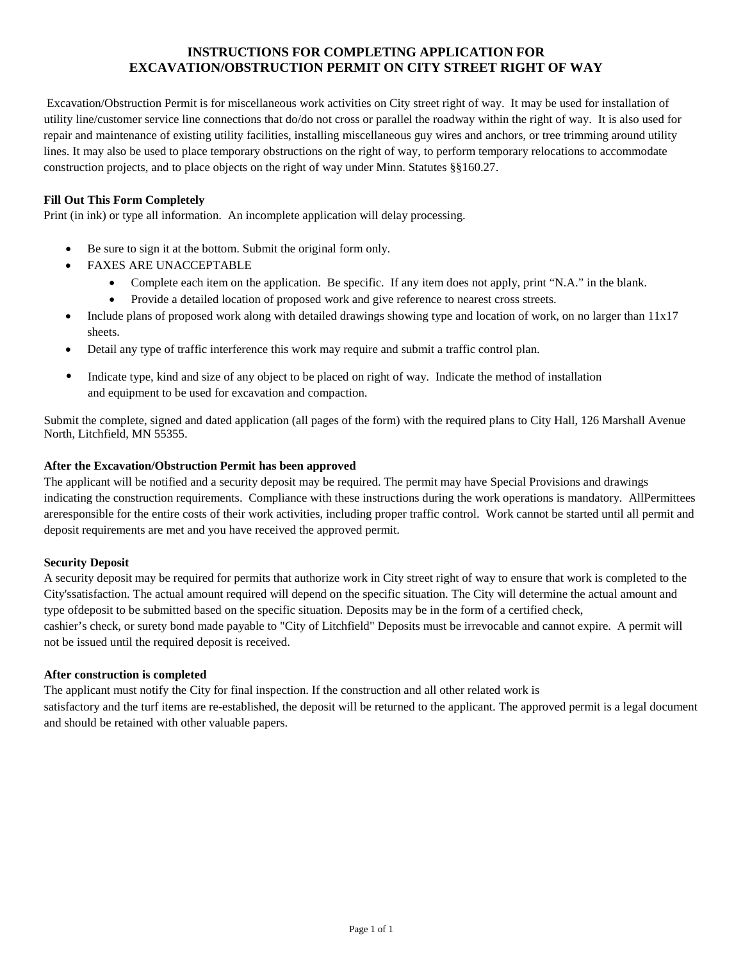## **INSTRUCTIONS FOR COMPLETING APPLICATION FOR EXCAVATION/OBSTRUCTION PERMIT ON CITY STREET RIGHT OF WAY**

Excavation/Obstruction Permit is for miscellaneous work activities on City street right of way. It may be used for installation of utility line/customer service line connections that do/do not cross or parallel the roadway within the right of way. It is also used for repair and maintenance of existing utility facilities, installing miscellaneous guy wires and anchors, or tree trimming around utility lines. It may also be used to place temporary obstructions on the right of way, to perform temporary relocations to accommodate construction projects, and to place objects on the right of way under Minn. Statutes §§160.27.

### **Fill Out This Form Completely**

Print (in ink) or type all information. An incomplete application will delay processing.

- Be sure to sign it at the bottom. Submit the original form only.
- FAXES ARE UNACCEPTABLE
	- Complete each item on the application. Be specific. If any item does not apply, print "N.A." in the blank.
	- Provide a detailed location of proposed work and give reference to nearest cross streets.
- Include plans of proposed work along with detailed drawings showing type and location of work, on no larger than 11x17 sheets.
- Detail any type of traffic interference this work may require and submit a traffic control plan.
- Indicate type, kind and size of any object to be placed on right of way. Indicate the method of installation and equipment to be used for excavation and compaction.

Submit the complete, signed and dated application (all pages of the form) with the required plans to City Hall, 126 Marshall Avenue North, Litchfield, MN 55355.

#### **After the Excavation/Obstruction Permit has been approved**

The applicant will be notified and a security deposit may be required. The permit may have Special Provisions and drawings indicating the construction requirements. Com[pliance with these instructions during the work operations](http://www.dot.state.mn.us/utility/districtcontacts.html) is mandatory. AllPermittees areresponsible for the entire costs of their work activities, including proper traffic control. Work cannot be started until all permit and deposit requirements are met and you have received the approved permit.

#### **Security Deposit**

 City'ssatisfaction. The actual amount required will depend on the specific situation. The City will determine the actual amount and A security deposit may be required for permits that authorize work in City street right of way to ensure that work is completed to the type ofdeposit to be submitted based on the specific situation. Deposits may be in the form of a certified check, cashier's check, or surety bond made payable to "City of Litchfield" Deposits must be irrevocable and cannot expire. A permit will not be issued until the required deposit is received.

#### **After construction is completed**

The applicant must notify the City for final inspection. If the construction and all other related work is satisfactory and the turf items are re-established, the deposit will be returned to the applicant. The approved permit is a legal document and should be retained with other valuable papers.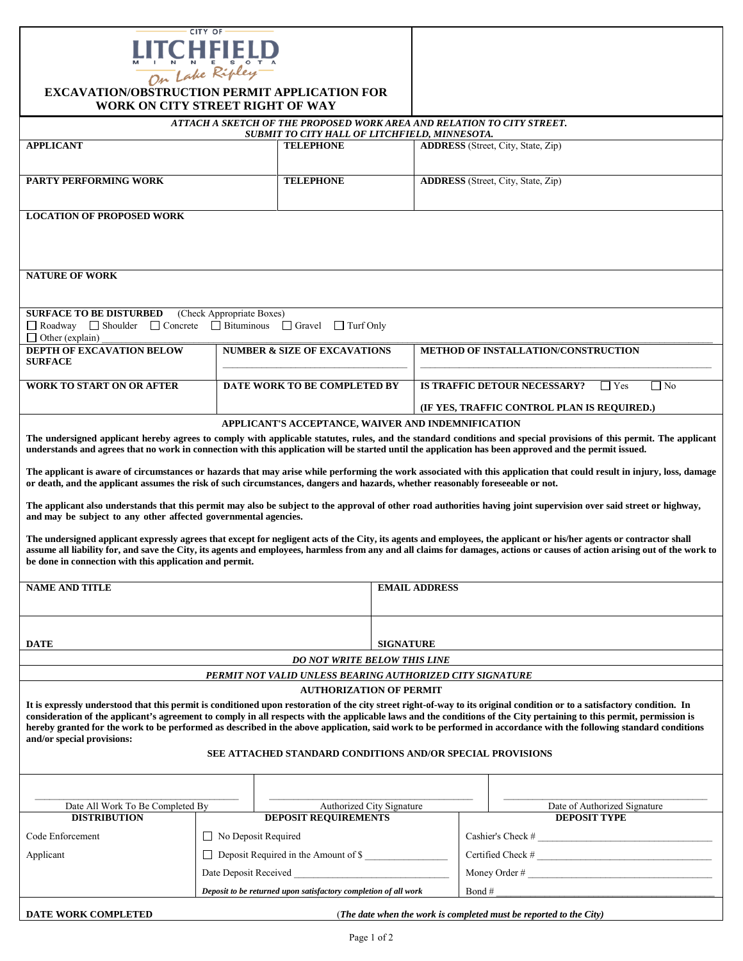

| <b>EXCAVATION/OBSTRUCTION PERMIT APPLICATION FOR</b><br>WORK ON CITY STREET RIGHT OF WAY                                                                                                                                                                                                                                                            |                                                                 |                                   |                      |                                                                 |                                                                                                                                                                                                                                                                                                                                            |  |
|-----------------------------------------------------------------------------------------------------------------------------------------------------------------------------------------------------------------------------------------------------------------------------------------------------------------------------------------------------|-----------------------------------------------------------------|-----------------------------------|----------------------|-----------------------------------------------------------------|--------------------------------------------------------------------------------------------------------------------------------------------------------------------------------------------------------------------------------------------------------------------------------------------------------------------------------------------|--|
| ATTACH A SKETCH OF THE PROPOSED WORK AREA AND RELATION TO CITY STREET.                                                                                                                                                                                                                                                                              |                                                                 |                                   |                      |                                                                 |                                                                                                                                                                                                                                                                                                                                            |  |
| SUBMIT TO CITY HALL OF LITCHFIELD, MINNESOTA.                                                                                                                                                                                                                                                                                                       |                                                                 |                                   |                      |                                                                 |                                                                                                                                                                                                                                                                                                                                            |  |
| <b>APPLICANT</b>                                                                                                                                                                                                                                                                                                                                    |                                                                 | <b>TELEPHONE</b>                  |                      |                                                                 | <b>ADDRESS</b> (Street, City, State, Zip)                                                                                                                                                                                                                                                                                                  |  |
| <b>PARTY PERFORMING WORK</b>                                                                                                                                                                                                                                                                                                                        |                                                                 | <b>TELEPHONE</b>                  |                      |                                                                 | <b>ADDRESS</b> (Street, City, State, Zip)                                                                                                                                                                                                                                                                                                  |  |
| <b>LOCATION OF PROPOSED WORK</b>                                                                                                                                                                                                                                                                                                                    |                                                                 |                                   |                      |                                                                 |                                                                                                                                                                                                                                                                                                                                            |  |
|                                                                                                                                                                                                                                                                                                                                                     |                                                                 |                                   |                      |                                                                 |                                                                                                                                                                                                                                                                                                                                            |  |
| <b>NATURE OF WORK</b>                                                                                                                                                                                                                                                                                                                               |                                                                 |                                   |                      |                                                                 |                                                                                                                                                                                                                                                                                                                                            |  |
| <b>SURFACE TO BE DISTURBED</b><br>Roadway Shoulder Concrete<br>$\Box$ Other (explain)                                                                                                                                                                                                                                                               | (Check Appropriate Boxes)<br>$\Box$ Bituminous                  | $\Box$ Turf Only<br>$\Box$ Gravel |                      |                                                                 |                                                                                                                                                                                                                                                                                                                                            |  |
| DEPTH OF EXCAVATION BELOW<br><b>SURFACE</b>                                                                                                                                                                                                                                                                                                         | <b>NUMBER &amp; SIZE OF EXCAVATIONS</b>                         |                                   |                      |                                                                 | <b>METHOD OF INSTALLATION/CONSTRUCTION</b>                                                                                                                                                                                                                                                                                                 |  |
| DATE WORK TO BE COMPLETED BY<br>WORK TO START ON OR AFTER                                                                                                                                                                                                                                                                                           |                                                                 |                                   |                      | IS TRAFFIC DETOUR NECESSARY?<br>$\Box$ No<br>$\blacksquare$ Yes |                                                                                                                                                                                                                                                                                                                                            |  |
|                                                                                                                                                                                                                                                                                                                                                     |                                                                 |                                   |                      | (IF YES, TRAFFIC CONTROL PLAN IS REQUIRED.)                     |                                                                                                                                                                                                                                                                                                                                            |  |
|                                                                                                                                                                                                                                                                                                                                                     |                                                                 |                                   |                      | APPLICANT'S ACCEPTANCE, WAIVER AND INDEMNIFICATION              |                                                                                                                                                                                                                                                                                                                                            |  |
| The undersigned applicant hereby agrees to comply with applicable statutes, rules, and the standard conditions and special provisions of this permit. The applicant<br>understands and agrees that no work in connection with this application will be started until the application has been approved and the permit issued.                       |                                                                 |                                   |                      |                                                                 |                                                                                                                                                                                                                                                                                                                                            |  |
| The applicant is aware of circumstances or hazards that may arise while performing the work associated with this application that could result in injury, loss, damage<br>or death, and the applicant assumes the risk of such circumstances, dangers and hazards, whether reasonably foreseeable or not.                                           |                                                                 |                                   |                      |                                                                 |                                                                                                                                                                                                                                                                                                                                            |  |
| The applicant also understands that this permit may also be subject to the approval of other road authorities having joint supervision over said street or highway,                                                                                                                                                                                 |                                                                 |                                   |                      |                                                                 |                                                                                                                                                                                                                                                                                                                                            |  |
| and may be subject to any other affected governmental agencies.                                                                                                                                                                                                                                                                                     |                                                                 |                                   |                      |                                                                 |                                                                                                                                                                                                                                                                                                                                            |  |
| The undersigned applicant expressly agrees that except for negligent acts of the City, its agents and employees, the applicant or his/her agents or contractor shall<br>assume all liability for, and save the City, its agents and employees, harmless from any and all claims for damages, actions or causes of action arising out of the work to |                                                                 |                                   |                      |                                                                 |                                                                                                                                                                                                                                                                                                                                            |  |
| be done in connection with this application and permit.                                                                                                                                                                                                                                                                                             |                                                                 |                                   |                      |                                                                 |                                                                                                                                                                                                                                                                                                                                            |  |
| <b>NAME AND TITLE</b>                                                                                                                                                                                                                                                                                                                               |                                                                 |                                   | <b>EMAIL ADDRESS</b> |                                                                 |                                                                                                                                                                                                                                                                                                                                            |  |
|                                                                                                                                                                                                                                                                                                                                                     |                                                                 |                                   |                      |                                                                 |                                                                                                                                                                                                                                                                                                                                            |  |
|                                                                                                                                                                                                                                                                                                                                                     |                                                                 |                                   |                      |                                                                 |                                                                                                                                                                                                                                                                                                                                            |  |
| <b>DATE</b>                                                                                                                                                                                                                                                                                                                                         |                                                                 |                                   |                      | <b>SIGNATURE</b>                                                |                                                                                                                                                                                                                                                                                                                                            |  |
| <b>DO NOT WRITE BELOW THIS LINE</b>                                                                                                                                                                                                                                                                                                                 |                                                                 |                                   |                      |                                                                 |                                                                                                                                                                                                                                                                                                                                            |  |
| PERMIT NOT VALID UNLESS BEARING AUTHORIZED CITY SIGNATURE<br><b>AUTHORIZATION OF PERMIT</b>                                                                                                                                                                                                                                                         |                                                                 |                                   |                      |                                                                 |                                                                                                                                                                                                                                                                                                                                            |  |
| It is expressly understood that this permit is conditioned upon restoration of the city street right-of-way to its original condition or to a satisfactory condition. In                                                                                                                                                                            |                                                                 |                                   |                      |                                                                 |                                                                                                                                                                                                                                                                                                                                            |  |
| and/or special provisions:                                                                                                                                                                                                                                                                                                                          |                                                                 |                                   |                      |                                                                 | consideration of the applicant's agreement to comply in all respects with the applicable laws and the conditions of the City pertaining to this permit, permission is<br>hereby granted for the work to be performed as described in the above application, said work to be performed in accordance with the following standard conditions |  |
| SEE ATTACHED STANDARD CONDITIONS AND/OR SPECIAL PROVISIONS                                                                                                                                                                                                                                                                                          |                                                                 |                                   |                      |                                                                 |                                                                                                                                                                                                                                                                                                                                            |  |
|                                                                                                                                                                                                                                                                                                                                                     |                                                                 |                                   |                      |                                                                 |                                                                                                                                                                                                                                                                                                                                            |  |
| Date All Work To Be Completed By                                                                                                                                                                                                                                                                                                                    |                                                                 | Authorized City Signature         |                      |                                                                 | Date of Authorized Signature                                                                                                                                                                                                                                                                                                               |  |
| <b>DISTRIBUTION</b>                                                                                                                                                                                                                                                                                                                                 |                                                                 | <b>DEPOSIT REQUIREMENTS</b>       |                      |                                                                 | <b>DEPOSIT TYPE</b>                                                                                                                                                                                                                                                                                                                        |  |
| Code Enforcement                                                                                                                                                                                                                                                                                                                                    | No Deposit Required                                             |                                   |                      |                                                                 |                                                                                                                                                                                                                                                                                                                                            |  |
| Applicant                                                                                                                                                                                                                                                                                                                                           | $\Box$ Deposit Required in the Amount of \$                     |                                   |                      | $\text{Certified Check} \#$                                     |                                                                                                                                                                                                                                                                                                                                            |  |
| Date Deposit Received                                                                                                                                                                                                                                                                                                                               |                                                                 |                                   |                      |                                                                 |                                                                                                                                                                                                                                                                                                                                            |  |
|                                                                                                                                                                                                                                                                                                                                                     | Deposit to be returned upon satisfactory completion of all work |                                   |                      |                                                                 | Bond #                                                                                                                                                                                                                                                                                                                                     |  |
| <b>DATE WORK COMPLETED</b><br>(The date when the work is completed must be reported to the City)                                                                                                                                                                                                                                                    |                                                                 |                                   |                      |                                                                 |                                                                                                                                                                                                                                                                                                                                            |  |